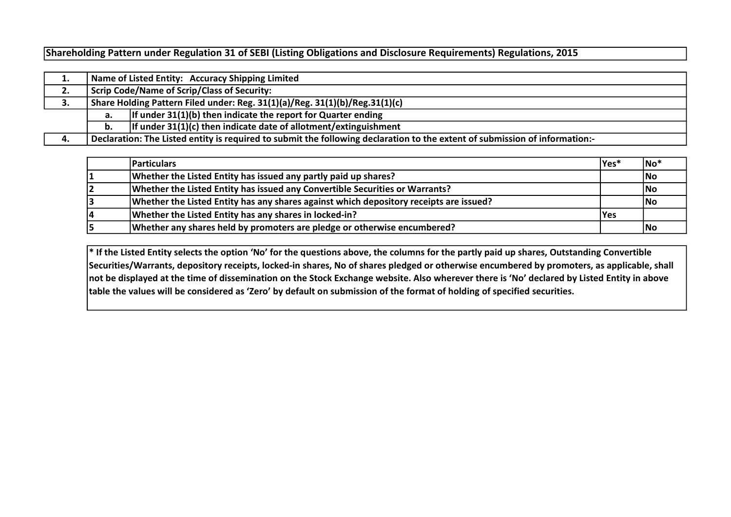Shareholding Pattern under Regulation 31 of SEBI (Listing Obligations and Disclosure Requirements) Regulations, 2015

|    |                                                                             | Name of Listed Entity: Accuracy Shipping Limited                                                                            |  |  |  |  |  |  |  |  |  |  |  |
|----|-----------------------------------------------------------------------------|-----------------------------------------------------------------------------------------------------------------------------|--|--|--|--|--|--|--|--|--|--|--|
| 2. | <b>Scrip Code/Name of Scrip/Class of Security:</b>                          |                                                                                                                             |  |  |  |  |  |  |  |  |  |  |  |
| 3. | Share Holding Pattern Filed under: Reg. 31(1)(a)/Reg. 31(1)(b)/Reg.31(1)(c) |                                                                                                                             |  |  |  |  |  |  |  |  |  |  |  |
|    | а.                                                                          | If under 31(1)(b) then indicate the report for Quarter ending                                                               |  |  |  |  |  |  |  |  |  |  |  |
|    | b.                                                                          | If under $31(1)(c)$ then indicate date of allotment/extinguishment                                                          |  |  |  |  |  |  |  |  |  |  |  |
| 4. |                                                                             | Declaration: The Listed entity is required to submit the following declaration to the extent of submission of information:- |  |  |  |  |  |  |  |  |  |  |  |

|   | <b>Particulars</b>                                                                     | $ Yes*$    | No <sup>'</sup> |
|---|----------------------------------------------------------------------------------------|------------|-----------------|
|   | Whether the Listed Entity has issued any partly paid up shares?                        |            | No              |
|   | Whether the Listed Entity has issued any Convertible Securities or Warrants?           |            | No              |
|   | Whether the Listed Entity has any shares against which depository receipts are issued? |            | lNo             |
| 4 | Whether the Listed Entity has any shares in locked-in?                                 | <b>Yes</b> |                 |
|   | Whether any shares held by promoters are pledge or otherwise encumbered?               |            | No              |

\* If the Listed Entity selects the option 'No' for the questions above, the columns for the partly paid up shares, Outstanding Convertible Securities/Warrants, depository receipts, locked-in shares, No of shares pledged or otherwise encumbered by promoters, as applicable, shall not be displayed at the time of dissemination on the Stock Exchange website. Also wherever there is 'No' declared by Listed Entity in above table the values will be considered as 'Zero' by default on submission of the format of holding of specified securities.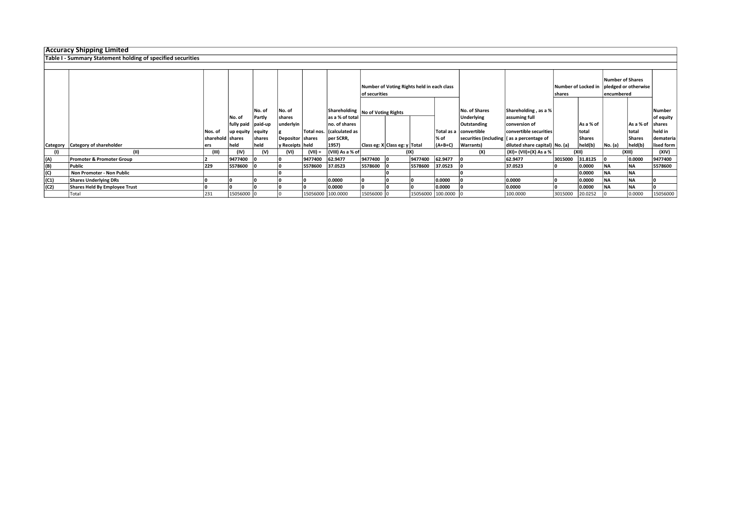|      | <b>Accuracy Shipping Limited</b>                            |                  |                    |        |                    |           |                           |                                            |                                  |         |                   |                        |                                             |                     |             |                         |             |               |
|------|-------------------------------------------------------------|------------------|--------------------|--------|--------------------|-----------|---------------------------|--------------------------------------------|----------------------------------|---------|-------------------|------------------------|---------------------------------------------|---------------------|-------------|-------------------------|-------------|---------------|
|      | Table I - Summary Statement holding of specified securities |                  |                    |        |                    |           |                           |                                            |                                  |         |                   |                        |                                             |                     |             |                         |             |               |
|      |                                                             |                  |                    |        |                    |           |                           |                                            |                                  |         |                   |                        |                                             |                     |             |                         |             |               |
|      |                                                             |                  |                    |        |                    |           |                           |                                            |                                  |         |                   |                        |                                             |                     |             |                         |             |               |
|      |                                                             |                  |                    |        |                    |           |                           |                                            |                                  |         |                   |                        |                                             |                     |             | <b>Number of Shares</b> |             |               |
|      |                                                             |                  |                    |        |                    |           |                           | Number of Voting Rights held in each class |                                  |         |                   |                        |                                             | Number of Locked in |             | pledged or otherwise    |             |               |
|      |                                                             |                  |                    |        |                    |           |                           | of securities                              |                                  |         |                   |                        | <b>Ishares</b>                              |                     | encumbered  |                         |             |               |
|      |                                                             |                  |                    |        |                    |           |                           |                                            |                                  |         |                   |                        |                                             |                     |             |                         |             |               |
|      |                                                             |                  |                    | No. of | No. of             |           |                           |                                            | Shareholding No of Voting Rights |         |                   | <b>No. of Shares</b>   | Shareholding, as a %                        |                     |             |                         |             | Number        |
|      |                                                             |                  | No. of             | Partly | shares             |           | as a % of total           |                                            |                                  |         |                   | <b>Underlying</b>      | assuming full                               |                     |             |                         |             | of equity     |
|      |                                                             |                  | fully paid paid-up |        | underlyin          |           | no. of shares             |                                            |                                  |         |                   | Outstanding            | conversion of                               |                     | l As a % of |                         | l As a % of | <b>Shares</b> |
|      |                                                             | l Nos. of        | up equity equity   |        |                    |           | Total nos. (calculated as |                                            |                                  |         |                   | Total as a convertible | convertible securities                      |                     | total       |                         | total       | held in       |
|      |                                                             | sharehold shares |                    | shares | Depositor   shares |           | per SCRR,                 |                                            |                                  |         | l% of             |                        | securities (including   (as a percentage of |                     | Shares      |                         | Shares      | demateria     |
|      | Category Category of shareholder                            |                  | held               | held   | y Receipts   held  |           | 1957)                     |                                            | Class eg: X Class eg: y Total    |         | (A+B+C)           | <b>Warrants</b> )      | diluted share capital) No. (a)              |                     | held(b)     | No. (a)                 | held(b)     | lised form    |
|      | (11)                                                        | ers<br>(III)     | (IV)               | (V)    | (VI)               | $(VII) =$ | (VIII) As a % of          |                                            |                                  | (IX)    |                   | (X)                    | $(XI) = (VII)+(X) As a %$                   |                     | (XII)       |                         | (XIII)      | (XIV)         |
|      |                                                             |                  |                    |        |                    | 9477400   |                           |                                            |                                  | 9477400 | 62.9477           |                        | 62.9477                                     |                     |             |                         | 0.0000      | 9477400       |
| (A)  | Promoter & Promoter Group                                   |                  | 9477400            |        |                    |           | 62.9477                   | 9477400                                    |                                  |         |                   |                        |                                             | 3015000             | 31.8125     |                         |             |               |
| (B)  | Public                                                      | 229              | 5578600            |        |                    | 5578600   | 37.0523                   | 5578600                                    |                                  | 5578600 | 37.0523           |                        | 37.0523                                     |                     | 0.0000      | NA                      | <b>NA</b>   | 5578600       |
| (C)  | Non Promoter - Non Public                                   |                  |                    |        |                    |           |                           |                                            |                                  |         |                   |                        |                                             |                     | 0.0000      | <b>NA</b>               | <b>NA</b>   |               |
| (C1) | <b>Shares Underlying DRs</b>                                |                  |                    |        |                    |           | 0.0000                    |                                            |                                  |         | 0.0000            |                        | 0.0000                                      |                     | 0.0000      | NA                      | NA          |               |
| (C2) | Shares Held By Employee Trust                               |                  |                    |        |                    |           | 0.0000                    |                                            |                                  |         | 0.0000            |                        | 0.0000                                      |                     | 0.0000      | NA                      | NA          |               |
|      | Total                                                       | 231              | 15056000 0         |        |                    |           | 15056000 100.0000         | 15056000 0                                 |                                  |         | 15056000 100.0000 |                        | 100.0000                                    | 3015000             | 20.0252     |                         | 0.0000      | 15056000      |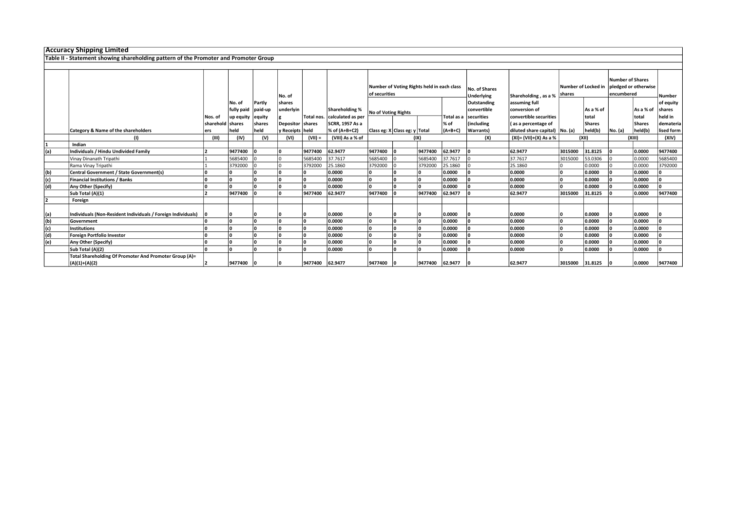|     | <b>Accuracy Shipping Limited</b>                                                     |                                                                       |                  |         |                    |            |                       |                                    |                               |                               |             |                                                               |                                |         |               |         |           |            |
|-----|--------------------------------------------------------------------------------------|-----------------------------------------------------------------------|------------------|---------|--------------------|------------|-----------------------|------------------------------------|-------------------------------|-------------------------------|-------------|---------------------------------------------------------------|--------------------------------|---------|---------------|---------|-----------|------------|
|     | Table II - Statement showing shareholding pattern of the Promoter and Promoter Group |                                                                       |                  |         |                    |            |                       |                                    |                               |                               |             |                                                               |                                |         |               |         |           |            |
|     |                                                                                      |                                                                       |                  |         |                    |            |                       |                                    |                               |                               |             |                                                               |                                |         |               |         |           |            |
|     |                                                                                      | Number of Voting Rights held in each class<br>of securities<br>No. of |                  |         |                    |            |                       | No. of Shares<br><b>Underlying</b> | Shareholding, as a %          | Number of Locked in<br>shares |             | <b>Number of Shares</b><br>pledged or otherwise<br>encumbered |                                | Number  |               |         |           |            |
|     |                                                                                      |                                                                       | No. of           | Partly  | shares             |            |                       |                                    |                               |                               |             | <b>Outstanding</b>                                            | assuming full                  |         |               |         |           | of equity  |
|     |                                                                                      |                                                                       | fully paid       | paid-up | underlyin          |            | <b>Shareholding %</b> | No of Voting Rights                |                               |                               |             | convertible                                                   | conversion of                  |         | As a % of     |         | As a % of | shares     |
|     |                                                                                      | Nos. of                                                               | up equity equity |         |                    | Total nos. | calculated as per     |                                    |                               |                               | Total as a  | securities                                                    | convertible securities         |         | total         |         | total     | held in    |
|     |                                                                                      | sharehold shares                                                      |                  | shares  | Depositor   shares |            | SCRR, 1957 As a       |                                    |                               |                               | % of        | (including                                                    | (as a percentage of            |         | <b>Shares</b> |         | Shares    | demateria  |
|     | <b>Category &amp; Name of the shareholders</b>                                       | ers                                                                   | held             | held    | y Receipts   held  |            | % of (A+B+C2)         |                                    | Class eg: X Class eg: y Total |                               | $(A+B+C)$   | <b>Warrants</b> )                                             | diluted share capital) No. (a) |         | held(b)       | No. (a) | held(b)   | lised form |
|     | (1)                                                                                  | (III)                                                                 | (IV)             | (V)     | (VI)               | $(VII) =$  | (VIII) As a % of      |                                    |                               | (IX)                          |             | (X)                                                           | $(XI) = (VII)+(X) As a %$      |         | (XII)         |         | (XIII)    | (XIV)      |
|     | Indian                                                                               |                                                                       |                  |         |                    |            |                       |                                    |                               |                               |             |                                                               |                                |         |               |         |           |            |
| (a) | Individuals / Hindu Undivided Family                                                 |                                                                       | 9477400          |         |                    | 9477400    | 62.9477               | 9477400                            |                               | 9477400                       | 62.9477     |                                                               | 62.9477                        | 3015000 | 31.8125       |         | 0.0000    | 9477400    |
|     | Vinay Dinanath Tripathi                                                              |                                                                       | 5685400          |         |                    | 5685400    | 37.7617               | 5685400                            |                               | 5685400                       | 37.7617     |                                                               | 37.7617                        | 3015000 | 53.0306       |         | 0.0000    | 5685400    |
|     | Rama Vinay Tripathi                                                                  |                                                                       | 3792000          |         |                    | 3792000    | 25.1860               | 3792000                            |                               | 3792000                       | 25.1860     |                                                               | 25.1860                        |         | 0.0000        |         | 0.0000    | 3792000    |
| (b) | Central Government / State Government(s)                                             |                                                                       |                  |         |                    |            | 0.0000                |                                    |                               |                               | 0.0000      |                                                               | 0.0000                         |         | 0.0000        |         | 0.0000    | ۱n         |
| (c) | <b>Financial Institutions / Banks</b>                                                |                                                                       | ١n               |         |                    | 'n         | 0.0000                | n                                  |                               | n.                            | 0.0000      |                                                               | 0.0000                         |         | 0.0000        |         | 0.0000    | ١o         |
| (d) | Any Other (Specify)                                                                  |                                                                       |                  |         |                    | n          | 0.0000                |                                    |                               | n                             | 0.0000      |                                                               | 0.0000                         |         | 0.0000        |         | 0.0000    | ١n         |
|     | Sub Total (A)(1)                                                                     |                                                                       | 9477400          |         |                    | 9477400    | 62.9477               | 9477400                            |                               | 9477400                       | 62.9477     |                                                               | 62.9477                        | 3015000 | 31.8125       |         | 0.0000    | 9477400    |
|     | Foreign                                                                              |                                                                       |                  |         |                    |            |                       |                                    |                               |                               |             |                                                               |                                |         |               |         |           |            |
| (a) | Individuals (Non-Resident Individuals / Foreign Individuals)                         |                                                                       |                  |         |                    |            | 0.0000                |                                    |                               |                               | 0.0000      |                                                               | 0.0000                         |         | 0.0000        |         | 0.0000    |            |
| (b) | Government                                                                           |                                                                       |                  |         |                    | 'n         | 0.0000                |                                    | Ι∩                            | n                             | 0.0000      |                                                               | 0.0000                         |         | 0.0000        |         | 0.0000    |            |
| (c) | <b>Institutions</b>                                                                  |                                                                       |                  |         |                    | n          | 0.0000                | n                                  |                               |                               | 0.0000      |                                                               | 0.0000                         |         | 0.0000        |         | 0.0000    |            |
| (d) | Foreign Portfolio Investor                                                           |                                                                       |                  |         |                    | n          | 0.0000                |                                    |                               | n                             | 0.0000      |                                                               | 0.0000                         |         | 0.0000        |         | 0.0000    |            |
| (e) | Any Other (Specify)                                                                  |                                                                       |                  |         |                    | n          | 0.0000                |                                    |                               | n                             | 0.0000      |                                                               | 0.0000                         |         | 0.0000        |         | 0.0000    |            |
|     | Sub Total (A)(2)                                                                     |                                                                       | ١n               |         |                    | n          | 0.0000                | n                                  |                               | n                             | 0.0000      |                                                               | 0.0000                         |         | 0.0000        |         | 0.0000    |            |
|     | Total Shareholding Of Promoter And Promoter Group (A)=                               |                                                                       |                  |         |                    |            |                       |                                    |                               |                               |             |                                                               |                                |         |               |         |           |            |
|     | $(A)(1)+(A)(2)$                                                                      |                                                                       | 9477400          |         |                    | 9477400    | 62.9477               | 9477400                            |                               | 9477400                       | $62.9477$ 0 |                                                               | 62.9477                        | 3015000 | 31.8125       |         | 0.0000    | 9477400    |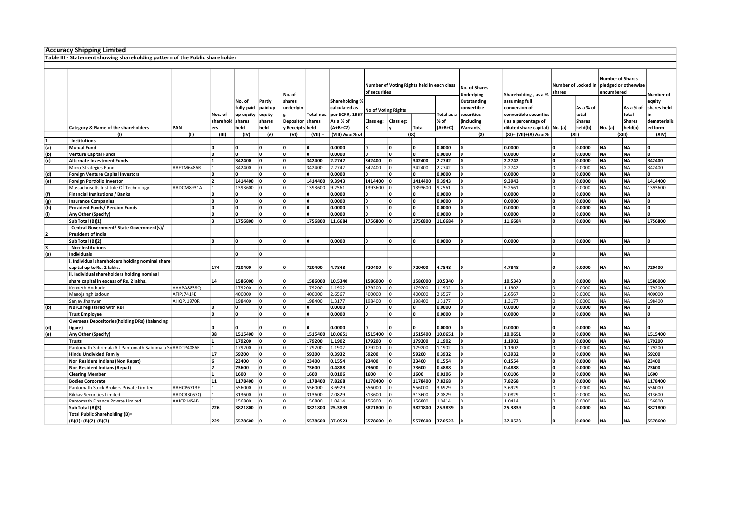|     | Accuracy Shipping Limited                                                    |            |           |            |         |                   |                  |                       |                            |           |                                            |            |                                           |                                  |        |                     |                                                               |               |              |
|-----|------------------------------------------------------------------------------|------------|-----------|------------|---------|-------------------|------------------|-----------------------|----------------------------|-----------|--------------------------------------------|------------|-------------------------------------------|----------------------------------|--------|---------------------|---------------------------------------------------------------|---------------|--------------|
|     | Table III - Statement showing shareholding pattern of the Public shareholder |            |           |            |         |                   |                  |                       |                            |           |                                            |            |                                           |                                  |        |                     |                                                               |               |              |
|     |                                                                              |            |           |            |         |                   |                  |                       |                            |           |                                            |            |                                           |                                  |        |                     |                                                               |               |              |
|     |                                                                              |            |           |            |         |                   |                  |                       |                            |           |                                            |            |                                           |                                  |        |                     |                                                               |               |              |
|     |                                                                              |            |           |            |         | No. of            |                  |                       | of securities              |           | Number of Voting Rights held in each class |            | <b>No. of Shares</b><br><b>Underlying</b> | Shareholding, as a %             | shares | Number of Locked in | <b>Number of Shares</b><br>pledged or otherwise<br>encumbered |               | Number of    |
|     |                                                                              |            |           | No. of     | Partly  | shares            |                  | <b>Shareholding %</b> |                            |           |                                            |            | Outstanding                               | assuming full                    |        |                     |                                                               |               | equity       |
|     |                                                                              |            |           | fully paid | paid-up | underlyin         |                  | calculated as         | <b>No of Voting Rights</b> |           |                                            |            | convertible                               | conversion of                    |        | As a % of           |                                                               | As a % of     | shares held  |
|     |                                                                              |            | Nos. of   | up equity  | equity  |                   | <b>Total nos</b> | per SCRR, 1957        |                            |           |                                            | lotal as a | securities                                | convertible securities           |        | total               |                                                               | total         |              |
|     |                                                                              |            | sharehold | shares     | shares  | Depositor         | shares           | As a % of             | Class eg:                  | Class eg: |                                            | % of       | (including                                | (as a percentage of              |        | <b>Shares</b>       |                                                               | <b>Shares</b> | dematerialis |
|     | Category & Name of the shareholders                                          | PAN        | ers       | held       | eld     | / Receipts   held |                  | $(A+B+C2)$            |                            |           | <b>Total</b>                               | (A+B+C)    | <b>Warrants</b> )                         | diluted share capital)   No. (a) |        | held(b)             | No. (a)                                                       | held(b)       | ed form      |
|     | (1)                                                                          | (II)       | (III)     | (IV)       | (V)     | (VI)              | $(VII) =$        | (VIII) As a % of      |                            |           | (IX)                                       |            | (X)                                       | (XI)= (VII)+(X) As a %           |        | (XII)               |                                                               | (XIII)        | (XIV)        |
|     | Institutions                                                                 |            |           |            |         |                   |                  |                       |                            |           |                                            |            |                                           |                                  |        |                     |                                                               |               |              |
| (a) | <b>Mutual Fund</b>                                                           |            |           | 0          |         | 0                 |                  | 0.0000                | ١o                         | O         | ١n                                         | 0.0000     |                                           | 0.0000                           |        | 0.0000              | <b>NA</b>                                                     | <b>NA</b>     | ١o           |
| (b) | <b>Venture Capital Funds</b>                                                 |            | ١n        | O.         |         | ١o                | ١o               | 0.0000                | ١o                         | ۱n.       | ١o                                         | 0.0000     |                                           | 0.0000                           | ١n     | 0.0000              | <b>NA</b>                                                     | <b>NA</b>     | l٥           |
| (c) | <b>Alternate Investment Funds</b>                                            |            |           | 342400     |         | 0                 | 342400           | 2.2742                | 342400                     | ۱o        | 342400                                     | 2.2742     |                                           | 2.2742                           |        | 0.0000              | NA                                                            | <b>NA</b>     | 342400       |
|     | Micro Strategies Fund                                                        | AAFTM6486R |           | 342400     |         | $\Omega$          | 342400           | 2.2742                | 342400                     |           | 342400                                     | 2.2742     |                                           | 2.2742                           |        | 0.0000              | <b>NA</b>                                                     | <b>NA</b>     | 342400       |
| (d) | <b>Foreign Venture Capital Investors</b>                                     |            | ١n        | n          |         | ١o                | ١n               | 0.0000                | n                          | O         | ١o                                         | 0.0000     |                                           | 0.0000                           | ١n     | 0.0000              | <b>NA</b>                                                     | <b>NA</b>     | ١o           |
| (e) | Foreign Portfolio Investor                                                   |            | 12        | 1414400    |         | ١o                | 1414400          | 9.3943                | 1414400                    | ۱o        | 1414400                                    | 9.3943     |                                           | 9.3943                           |        | 0.0000              | NA                                                            | <b>NA</b>     | 1414400      |
|     | Massachusetts Institute Of Technology                                        | AADCM8931A |           | 1393600    |         | I٥                | 1393600          | 9.2561                | 1393600                    |           | 1393600                                    | 9.2561     |                                           | 9.2561                           |        | 0.0000              | NA                                                            | <b>NA</b>     | 1393600      |
| (f) | <b>Financial Institutions / Banks</b>                                        |            | 10        | 0          |         | 0                 |                  | 0.0000                | 10                         | 0         | ۱O                                         | 0.0000     |                                           | 0.0000                           |        | 0.0000              | <b>NA</b>                                                     | <b>NA</b>     | 10           |
| (g) | <b>Insurance Companies</b>                                                   |            |           | 0          |         | ١o                |                  | 0.0000                | ١o                         | l n       | ١n                                         | 0.0000     |                                           | 0.0000                           |        | 0.0000              | <b>NA</b>                                                     | <b>NA</b>     | l٥           |
| (h) | Provident Funds/ Pension Funds                                               |            | ١n        | 0          |         | 0                 | ١o               | 0.0000                | ۱o                         | ۱o        | ١o                                         | 0.0000     |                                           | 0.0000                           | ١o     | 0.0000              | NA                                                            | <b>NA</b>     | ١o           |
| (i) | Any Other (Specify)                                                          |            |           | 0          |         | $\mathbf{0}$      |                  | 0.0000                |                            | l n       |                                            | 0.0000     |                                           | 0.0000                           |        | 0.0000              | <b>NA</b>                                                     | <b>NA</b>     |              |
|     | Sub Total (B)(1)                                                             |            | l٦        | 1756800    |         | <sup>0</sup>      | 1756800          | 11.6684               | 1756800                    | n         | 1756800                                    | 11.6684    |                                           | 11.6684                          |        | 0.0000              | <b>NA</b>                                                     | <b>NA</b>     | 1756800      |
|     | Central Government/ State Government(s)/                                     |            |           |            |         |                   |                  |                       |                            |           |                                            |            |                                           |                                  |        |                     |                                                               |               |              |
|     | <b>President of India</b>                                                    |            |           |            |         |                   |                  |                       |                            |           |                                            |            |                                           |                                  |        |                     |                                                               |               |              |
|     | Sub Total (B)(2)                                                             |            | l∩        | 0          |         | <sup>0</sup>      | ١n               | 0.0000                | ١o                         | ۱o        | ١o                                         | 0.0000     |                                           | 0.0000                           | ١n     | 0.0000              | <b>NA</b>                                                     | <b>NA</b>     | l٥           |
| 13. | <b>Non-Institutions</b>                                                      |            |           |            |         |                   |                  |                       |                            |           |                                            |            |                                           |                                  |        |                     |                                                               |               |              |
| (a) | Individuals                                                                  |            |           | 0          |         |                   |                  |                       |                            |           |                                            |            |                                           |                                  |        |                     | NA                                                            | <b>NA</b>     |              |
|     | Individual shareholders holding nominal share                                |            |           |            |         |                   |                  |                       |                            |           |                                            |            |                                           |                                  |        |                     |                                                               |               |              |
|     | capital up to Rs. 2 lakhs.                                                   |            | 174       | 720400     |         | 0                 | 720400           | 4.7848                | 720400                     |           | 720400                                     | 4.7848     |                                           | 4.7848                           |        | 0.0000              | NA                                                            | <b>NA</b>     | 720400       |
|     | ii. Individual shareholders holding nominal                                  |            |           |            |         |                   |                  |                       |                            |           |                                            |            |                                           |                                  |        |                     |                                                               |               |              |
|     | share capital in excess of Rs. 2 lakhs.                                      |            | 14        | 1586000    |         | n                 | 1586000          | 10.5340               | 1586000                    |           | 1586000                                    | 10.5340    |                                           | 10.5340                          |        | 0.0000              | NA                                                            | <b>NA</b>     | 1586000      |
|     | Kenneth Andrade                                                              | AAAPA8838Q |           | 179200     |         | $\Omega$          | 179200           | 1.1902                | 179200                     | l O       | 179200                                     | 1.1902     |                                           | 1.1902                           |        | 0.0000              | <b>NA</b>                                                     | <b>NA</b>     | 179200       |
|     | Manojsingh Jadoun                                                            | AFIPJ7414E |           | 400000     |         | $\Omega$          | 400000           | 2.6567                | 400000                     |           | 400000                                     | 2.6567     |                                           | 2.6567                           |        | 0.0000              | <b>NA</b>                                                     | <b>NA</b>     | 400000       |
|     | Sanjay Jhanwar                                                               | AHQPJ1970R |           | 198400     |         | $\Omega$          | 198400           | 1.3177                | 198400                     | l O       | 198400                                     | 1.3177     |                                           | 1.3177                           |        | 0.0000              | NA                                                            | <b>NA</b>     | 198400       |
| (b) | <b>NBFCs registered with RBI</b>                                             |            | l∩        | 0          |         | 0                 |                  | 0.0000                | ۱o                         | l n       | 'n                                         | 0.0000     |                                           | 0.0000                           |        | 0.0000              | <b>NA</b>                                                     | <b>NA</b>     | ۱n           |
|     | <b>Trust Employee</b>                                                        |            | ١n        | 0          |         | ١o                | ١o               | 0.0000                | ۱o                         | l n       | ١o                                         | 0.0000     |                                           | 0.0000                           | ١n     | 0.0000              | <b>NA</b>                                                     | <b>NA</b>     | ١o           |
|     | <b>Overseas Depositories (holding DRs) (balancing</b>                        |            |           |            |         |                   |                  |                       |                            |           |                                            |            |                                           |                                  |        |                     |                                                               |               |              |
| (d) | figure)                                                                      |            |           |            |         | 0                 |                  | 0.0000                |                            |           |                                            | 0.0000     |                                           | 0.0000                           |        | 0.0000              | <b>NA</b>                                                     | <b>NA</b>     |              |
| (e) | Any Other (Specify)                                                          |            | 38        | 1515400    |         | ۱o                | 1515400          | 10.0651               | 1515400                    | ۱o        | 1515400                                    | 10.0651    |                                           | 10.0651                          | ١o     | 0.0000              | <b>NA</b>                                                     | <b>NA</b>     | 1515400      |
|     | <b>Trusts</b>                                                                |            |           | 179200     |         | 0                 | 179200           | 1.1902                | 179200                     | l n       | 179200                                     | 1.1902     |                                           | 1.1902                           |        | 0.0000              | NA                                                            | <b>NA</b>     | 179200       |
|     | Pantomath Sabrimala Aif Pantomath Sabrimala Sn AADTP4086E                    |            |           | 179200     |         | $\Omega$          | 179200           | 1.1902                | 179200                     | l O       | 179200                                     | 1.1902     |                                           | 1.1902                           |        | 0.0000              | <b>NA</b>                                                     | <b>NA</b>     | 179200       |
|     | <b>Hindu Undivided Family</b>                                                |            | 17        | 59200      |         | ١o                | 59200            | 0.3932                | 59200                      | O         | 59200                                      | 0.3932     |                                           | 0.3932                           | ١n     | 0.0000              | NA                                                            | <b>NA</b>     | 59200        |
|     | Non Resident Indians (Non Repat)                                             |            | 6         | 23400      |         | ۱o                | 23400            | 0.1554                | 23400                      | ۱o        | 23400                                      | 0.1554     |                                           | 0.1554                           |        | 0.0000              | <b>NA</b>                                                     | <b>NA</b>     | 23400        |
|     | <b>Non Resident Indians (Repat)</b>                                          |            |           | 73600      |         | ۱n                | 73600            | 0.4888                | 73600                      | n.        | 73600                                      | 0.4888     |                                           | 0.4888                           | l∩     | 0.0000              | <b>NA</b>                                                     | <b>NA</b>     | 73600        |
|     | <b>Clearing Member</b>                                                       |            |           | 1600       |         | ۱o                | 1600             | 0.0106                | 1600                       | ۱o        | 1600                                       | 0.0106     |                                           | 0.0106                           | ١o     | 0.0000              | NA                                                            | <b>NA</b>     | 1600         |
|     | <b>Bodies Corporate</b>                                                      |            | 11        | 1178400    |         | ١o                | 1178400          | 7.8268                | 1178400                    | l n       | 1178400                                    | 7.8268     |                                           | 7.8268                           |        | 0.0000              | <b>NA</b>                                                     | <b>NA</b>     | 1178400      |
|     | Pantomath Stock Brokers Private Limited                                      | AAHCP6713F |           | 556000     |         | I٥                | 556000           | 3.6929                | 556000                     | ln.       | 556000                                     | 3.6929     |                                           | 3.6929                           | I∩     | 0.0000              | NA                                                            | <b>NA</b>     | 556000       |
|     | <b>Rikhav Securities Limited</b>                                             | AADCR3067Q |           | 313600     |         | 0                 | 313600           | 2.0829                | 313600                     | l O       | 313600                                     | .0829      |                                           | 2.0829                           |        | 0.0000              | <b>NA</b>                                                     | <b>NA</b>     | 313600       |
|     | Pantomath Finance Private Limited                                            | AAJCP1454B |           | 156800     |         | $\Omega$          | 156800           | 1.0414                | 156800                     |           | 156800                                     | 1.0414     |                                           | 1.0414                           |        | 0.0000              | <b>NA</b>                                                     | <b>NA</b>     | 156800       |
|     | Sub Total (B)(3)                                                             |            | 226       | 3821800    |         | ١o                | 3821800          | 25.3839               | 3821800                    |           | 3821800                                    | 25.3839    |                                           | 25.3839                          | ١n     | 0.0000              | <b>NA</b>                                                     | <b>NA</b>     | 3821800      |
|     | <b>Total Public Shareholding (B)=</b><br>$(B)(1)+(B)(2)+(B)(3)$              |            | 229       | 5578600    |         | 0                 | 5578600          | 37.0523               | 5578600                    | ١o        | 5578600                                    | 37.0523    |                                           | 37.0523                          |        | 0.0000              | <b>NA</b>                                                     | <b>NA</b>     | 5578600      |
|     |                                                                              |            |           |            |         |                   |                  |                       |                            |           |                                            |            |                                           |                                  |        |                     |                                                               |               |              |